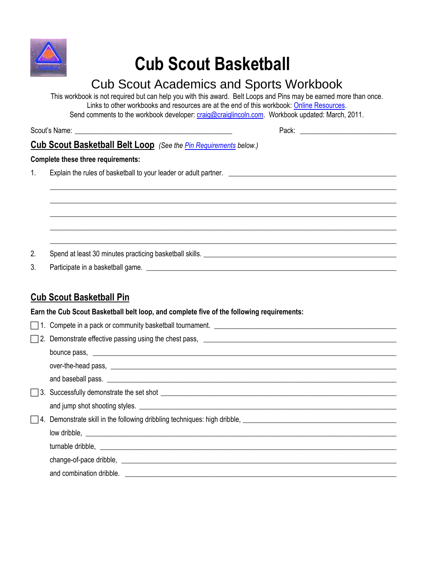

# **Cub Scout Basketball**

## Cub Scout Academics and Sports Workbook

This workbook is not required but can help you with this award. Belt Loops and Pins may be earned more than once. Links to other workbooks and resources are at the end of this workbook: [Online Resources.](#page-1-0) Send comments to the workbook developer: [craig@craiglincoln.com.](mailto:craig@craiglincoln.com) Workbook updated: March, 2011.

 $\_$  ,  $\_$  ,  $\_$  ,  $\_$  ,  $\_$  ,  $\_$  ,  $\_$  ,  $\_$  ,  $\_$  ,  $\_$  ,  $\_$  ,  $\_$  ,  $\_$  ,  $\_$  ,  $\_$  ,  $\_$  ,  $\_$  ,  $\_$  ,  $\_$  ,  $\_$  ,  $\_$  ,  $\_$  ,  $\_$  ,  $\_$  ,  $\_$  ,  $\_$  ,  $\_$  ,  $\_$  ,  $\_$  ,  $\_$  ,  $\_$  ,  $\_$  ,  $\_$  ,  $\_$  ,  $\_$  ,  $\_$  ,  $\_$  ,  $\_$  ,  $\_$  ,  $\_$  ,  $\_$  ,  $\_$  ,  $\_$  ,  $\_$  ,  $\_$  ,  $\_$  ,  $\_$  ,  $\_$  ,  $\_$  ,  $\_$  ,  $\_$  ,  $\_$  ,  $\_$  ,  $\_$  ,  $\_$  ,  $\_$  ,  $\_$  ,  $\_$  ,  $\_$  ,  $\_$  ,  $\_$  ,  $\_$  ,  $\_$  ,  $\_$  ,  $\_$  ,  $\_$  ,  $\_$  ,  $\_$  ,  $\_$  ,  $\_$  ,  $\_$  ,  $\_$  ,  $\_$  ,  $\_$  ,  $\_$  ,  $\_$  ,  $\_$  ,  $\_$  ,  $\_$  ,  $\_$  ,  $\_$  ,  $\_$  ,  $\_$  ,  $\_$  ,  $\_$  ,  $\_$  ,  $\_$  ,  $\_$  ,  $\_$  ,  $\_$  ,  $\_$  ,  $\_$  ,  $\_$  ,  $\_$  ,  $\_$  ,  $\_$  ,  $\_$  ,  $\_$  ,  $\_$  ,  $\_$  ,  $\_$  ,  $\_$  ,  $\_$  ,  $\_$  ,  $\_$  ,  $\_$  ,  $\_$  ,  $\_$  ,  $\_$  ,  $\_$  ,  $\_$  ,  $\_$  ,  $\_$  ,  $\_$  ,  $\_$  ,  $\_$  ,  $\_$  ,  $\_$  ,  $\_$  ,  $\_$  ,  $\_$  ,  $\_$  ,  $\_$  ,  $\_$  ,  $\_$  ,  $\_$  ,  $\_$  ,  $\_$  ,  $\_$  ,  $\_$  ,  $\_$  ,  $\_$  ,  $\_$  ,  $\_$  ,  $\_$  ,  $\_$  ,  $\_$  ,  $\_$  ,  $\_$  ,  $\_$  ,  $\_$  ,  $\_$  ,  $\_$  ,  $\_$  ,  $\_$  ,  $\_$  ,  $\_$  ,  $\_$  ,  $\_$  ,  $\_$  ,  $\_$  ,  $\_$  ,  $\_$  ,  $\_$  ,  $\_$  ,  $\_$  ,  $\_$  ,  $\_$  ,  $\_$  ,  $\_$  ,  $\_$  ,  $\_$  ,  $\_$  ,  $\_$  ,  $\_$  ,  $\_$  ,  $\_$  ,  $\_$  ,  $\_$  ,  $\_$  ,  $\_$  ,  $\_$  ,  $\_$  ,  $\_$  ,  $\_$  ,  $\_$  ,  $\_$  ,  $\_$  ,  $\_$  ,  $\_$  ,  $\_$  ,  $\_$  ,  $\_$  ,  $\_$  ,  $\_$  ,

Scout's Name: \_\_\_\_\_\_\_\_\_\_\_\_\_\_\_\_\_\_\_\_\_\_\_\_\_\_\_\_\_\_\_\_\_\_\_\_\_\_\_\_\_\_\_\_ Pack: \_\_\_\_\_\_\_\_\_\_\_\_\_\_\_\_\_\_\_\_\_\_\_\_\_\_\_

### **Cub Scout Basketball Belt Loop** *(See th[e Pin Requirements](#page-0-0) below.)*

#### **Complete these three requirements:**

1. Explain the rules of basketball to your leader or adult partner.

2. Spend at least 30 minutes practicing basketball skills. \_\_\_\_\_\_\_\_\_\_\_\_\_\_\_\_\_\_\_\_\_\_\_\_\_\_\_\_\_\_\_\_\_\_\_\_\_\_\_\_\_\_\_\_\_\_\_\_\_\_\_\_\_\_

3. Participate in a basketball game. \_\_\_\_\_\_\_\_\_\_\_\_\_\_\_\_\_\_\_\_\_\_\_\_\_\_\_\_\_\_\_\_\_\_\_\_\_\_\_\_\_\_\_\_\_\_\_\_\_\_\_\_\_\_\_\_\_\_\_\_\_\_\_\_\_\_\_\_\_\_

#### <span id="page-0-0"></span>**Cub Scout Basketball Pin**

**Earn the Cub Scout Basketball belt loop, and complete five of the following requirements:** 

| and baseball pass.                                                                                                                                                                                                                   |
|--------------------------------------------------------------------------------------------------------------------------------------------------------------------------------------------------------------------------------------|
|                                                                                                                                                                                                                                      |
|                                                                                                                                                                                                                                      |
|                                                                                                                                                                                                                                      |
| low dribble, <u>example and contract and contract and contract and contract and contract and contract and contract of the set of the set of the set of the set of the set of the set of the set of the set of the set of the set</u> |
|                                                                                                                                                                                                                                      |
| change-of-pace dribble, example and a series of the series of the series of the series of the series of the series of the series of the series of the series of the series of the series of the series of the series of the se       |
|                                                                                                                                                                                                                                      |